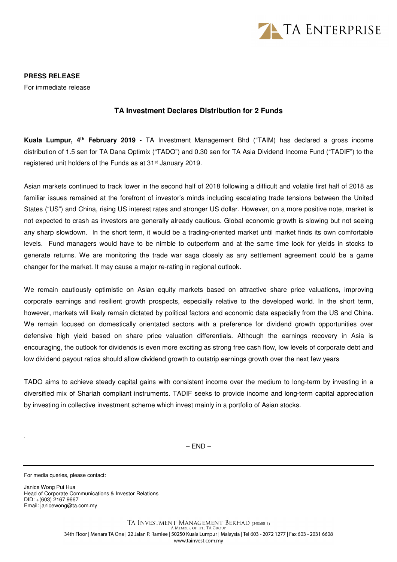

**PRESS RELEASE**  For immediate release

## **TA Investment Declares Distribution for 2 Funds**

**Kuala Lumpur, 4th February 2019 -** TA Investment Management Bhd ("TAIM) has declared a gross income distribution of 1.5 sen for TA Dana Optimix ("TADO") and 0.30 sen for TA Asia Dividend Income Fund ("TADIF") to the registered unit holders of the Funds as at 31st January 2019.

Asian markets continued to track lower in the second half of 2018 following a difficult and volatile first half of 2018 as familiar issues remained at the forefront of investor's minds including escalating trade tensions between the United States ("US") and China, rising US interest rates and stronger US dollar. However, on a more positive note, market is not expected to crash as investors are generally already cautious. Global economic growth is slowing but not seeing any sharp slowdown. In the short term, it would be a trading-oriented market until market finds its own comfortable levels. Fund managers would have to be nimble to outperform and at the same time look for yields in stocks to generate returns. We are monitoring the trade war saga closely as any settlement agreement could be a game changer for the market. It may cause a major re-rating in regional outlook.

We remain cautiously optimistic on Asian equity markets based on attractive share price valuations, improving corporate earnings and resilient growth prospects, especially relative to the developed world. In the short term, however, markets will likely remain dictated by political factors and economic data especially from the US and China. We remain focused on domestically orientated sectors with a preference for dividend growth opportunities over defensive high yield based on share price valuation differentials. Although the earnings recovery in Asia is encouraging, the outlook for dividends is even more exciting as strong free cash flow, low levels of corporate debt and low dividend payout ratios should allow dividend growth to outstrip earnings growth over the next few years

TADO aims to achieve steady capital gains with consistent income over the medium to long-term by investing in a diversified mix of Shariah compliant instruments. TADIF seeks to provide income and long-term capital appreciation by investing in collective investment scheme which invest mainly in a portfolio of Asian stocks.

 $-$  END  $-$ 

For media queries, please contact:

.

Janice Wong Pui Hua Head of Corporate Communications & Investor Relations DID: +(603) 2167 9667 Email: janicewong@ta.com.my